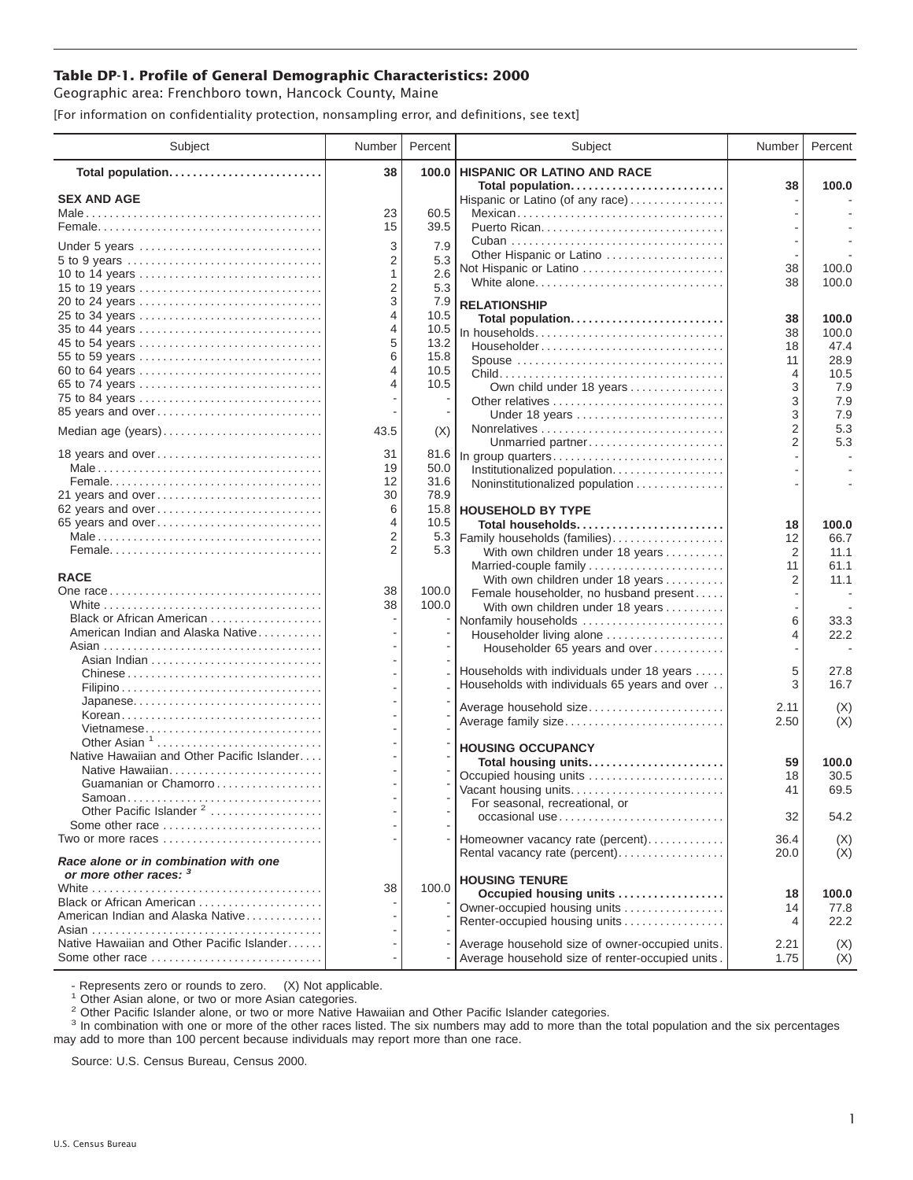## **Table DP-1. Profile of General Demographic Characteristics: 2000**

Geographic area: Frenchboro town, Hancock County, Maine

[For information on confidentiality protection, nonsampling error, and definitions, see text]

| Subject                                                                               | Number | Percent | Subject                                                                                     | Number         | Percent                  |
|---------------------------------------------------------------------------------------|--------|---------|---------------------------------------------------------------------------------------------|----------------|--------------------------|
| Total population                                                                      | 38     | 100.0   | HISPANIC OR LATINO AND RACE                                                                 |                |                          |
| <b>SEX AND AGE</b>                                                                    |        |         | Total population<br>Hispanic or Latino (of any race)                                        | 38             | 100.0                    |
|                                                                                       | 23     | 60.5    | Mexican                                                                                     |                |                          |
|                                                                                       | 15     | 39.5    |                                                                                             |                |                          |
| Under 5 years                                                                         | 3      | 7.9     |                                                                                             |                |                          |
| 5 to 9 years                                                                          | 2      | 5.3     | Other Hispanic or Latino                                                                    |                |                          |
| 10 to 14 years                                                                        | 1      | 2.6     | Not Hispanic or Latino                                                                      | 38             | 100.0                    |
| 15 to 19 years                                                                        | 2      | 5.3     | White alone                                                                                 | 38             | 100.0                    |
| 20 to 24 years                                                                        | 3      | 7.9     | <b>RELATIONSHIP</b>                                                                         |                |                          |
| 25 to 34 years                                                                        | 4      | 10.5    | Total population                                                                            | 38             | 100.0                    |
| 35 to 44 years                                                                        | 4      | 10.5    | In households                                                                               | 38             | 100.0                    |
| 45 to 54 years                                                                        | 5      | 13.2    | Householder                                                                                 | 18             | 47.4                     |
| 55 to 59 years                                                                        | 6      | 15.8    | Spouse                                                                                      | 11             | 28.9                     |
| 60 to 64 years                                                                        | 4<br>4 | 10.5    |                                                                                             | 4              | 10.5                     |
| 65 to 74 years<br>75 to 84 years                                                      |        | 10.5    | Own child under 18 years                                                                    | 3              | 7.9                      |
| 85 years and over                                                                     |        |         |                                                                                             | 3<br>3         | 7.9                      |
|                                                                                       |        |         | Under 18 years                                                                              | 2              | 7.9<br>5.3               |
| Median age (years)                                                                    | 43.5   | (X)     | Unmarried partner                                                                           | $\overline{2}$ | 5.3                      |
| 18 years and over                                                                     | 31     | 81.6    | In group quarters                                                                           |                |                          |
|                                                                                       | 19     | 50.0    | Institutionalized population                                                                |                |                          |
|                                                                                       | 12     | 31.6    | Noninstitutionalized population                                                             |                |                          |
| 21 years and over                                                                     | 30     | 78.9    |                                                                                             |                |                          |
| 62 years and over                                                                     | 6      | 15.8    | <b>HOUSEHOLD BY TYPE</b>                                                                    |                |                          |
| 65 years and over                                                                     | 4      | 10.5    | Total households                                                                            | 18             | 100.0                    |
|                                                                                       | 2<br>2 | 5.3     | Family households (families)                                                                | 12             | 66.7                     |
|                                                                                       |        | 5.3     | With own children under 18 years                                                            | $\overline{2}$ | 11.1<br>61.1             |
| <b>RACE</b>                                                                           |        |         | Married-couple family<br>With own children under 18 years                                   | 11<br>2        | 11.1                     |
|                                                                                       | 38     | 100.0   | Female householder, no husband present                                                      |                |                          |
|                                                                                       | 38     | 100.0   | With own children under 18 years                                                            |                |                          |
| Black or African American                                                             |        |         | Nonfamily households                                                                        | 6              | 33.3                     |
| American Indian and Alaska Native                                                     |        |         | Householder living alone                                                                    | 4              | 22.2                     |
|                                                                                       |        |         | Householder 65 years and over                                                               |                | $\overline{\phantom{a}}$ |
|                                                                                       |        |         |                                                                                             | 5              | 27.8                     |
| Chinese                                                                               |        |         | Households with individuals under 18 years<br>Households with individuals 65 years and over | 3              | 16.7                     |
|                                                                                       |        |         |                                                                                             |                |                          |
| Korean                                                                                |        |         | Average household size                                                                      | 2.11           | (X)                      |
| Vietnamese                                                                            |        |         | Average family size                                                                         | 2.50           | (X)                      |
| Other Asian $1, \ldots, \ldots, \ldots, \ldots, \ldots, \ldots$                       |        |         |                                                                                             |                |                          |
| Native Hawaiian and Other Pacific Islander                                            |        |         | <b>HOUSING OCCUPANCY</b><br>Total housing units                                             | 59             | 100.0                    |
|                                                                                       |        |         | Occupied housing units                                                                      | 18             | 30.5                     |
| Guamanian or Chamorro                                                                 |        |         | Vacant housing units                                                                        | 41             | 69.5                     |
| Samoan                                                                                |        |         | For seasonal, recreational, or                                                              |                |                          |
| Other Pacific Islander <sup>2</sup>                                                   |        |         | occasional use                                                                              | 32             | 54.2                     |
| Some other race $\ldots, \ldots, \ldots, \ldots, \ldots, \ldots$<br>Two or more races |        |         |                                                                                             |                |                          |
|                                                                                       |        |         | Homeowner vacancy rate (percent)<br>Rental vacancy rate (percent)                           | 36.4<br>20.0   | (X)<br>(X)               |
| Race alone or in combination with one<br>or more other races: 3                       |        |         | <b>HOUSING TENURE</b>                                                                       |                |                          |
|                                                                                       | 38     | 100.0   | Occupied housing units                                                                      | 18             | 100.0                    |
| Black or African American                                                             |        |         | Owner-occupied housing units                                                                | 14             | 77.8                     |
| American Indian and Alaska Native                                                     |        |         | Renter-occupied housing units                                                               | 4              | 22.2                     |
|                                                                                       |        |         |                                                                                             |                |                          |
| Native Hawaiian and Other Pacific Islander                                            |        |         | Average household size of owner-occupied units.                                             | 2.21           | (X)                      |
| Some other race                                                                       |        |         | Average household size of renter-occupied units.                                            | 1.75           | (X)                      |

- Represents zero or rounds to zero. (X) Not applicable.<br><sup>1</sup> Other Asian alone, or two or more Asian categories.

<sup>2</sup> Other Pacific Islander alone, or two or more Native Hawaiian and Other Pacific Islander categories.<br><sup>3</sup> In combination with one or more of the other races listed. The six numbers may add to more than the total populati may add to more than 100 percent because individuals may report more than one race.

Source: U.S. Census Bureau, Census 2000.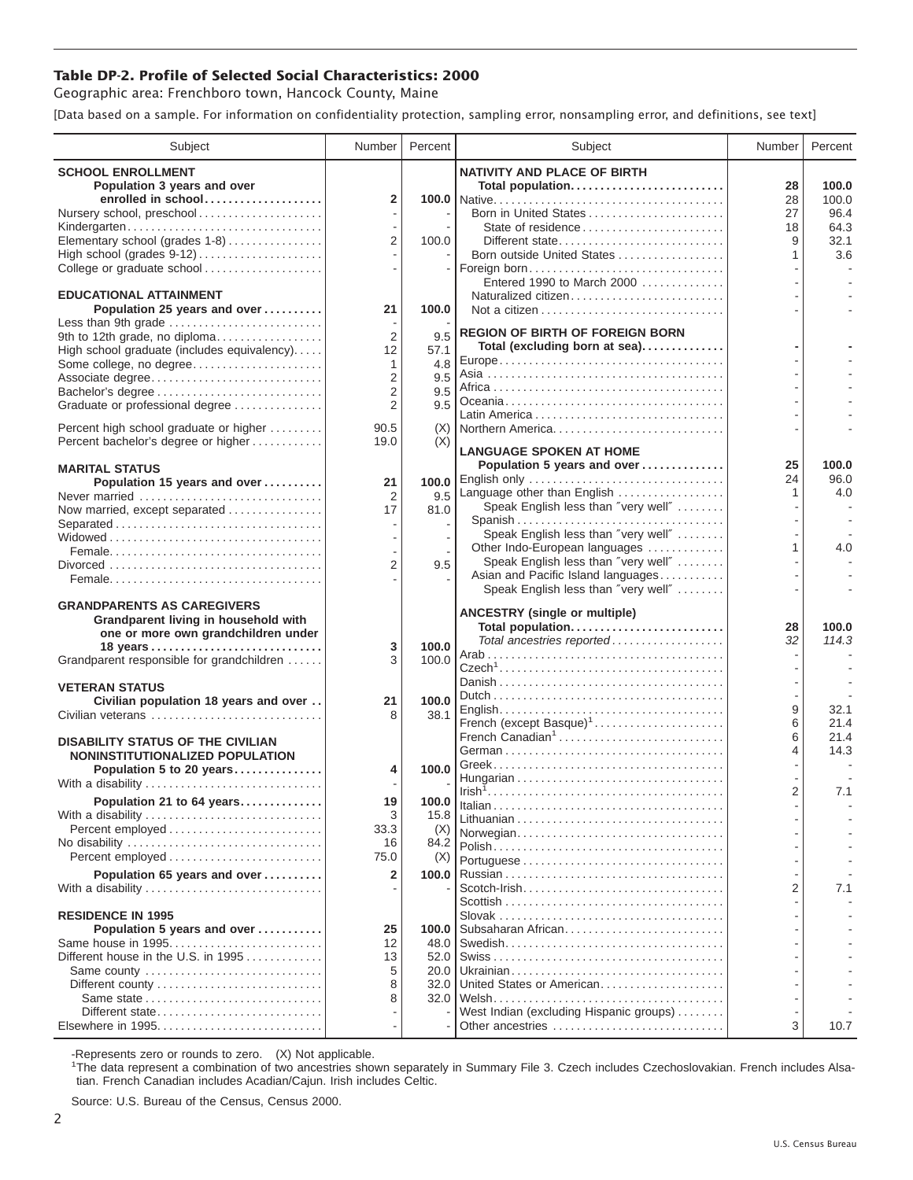## **Table DP-2. Profile of Selected Social Characteristics: 2000**

Geographic area: Frenchboro town, Hancock County, Maine

[Data based on a sample. For information on confidentiality protection, sampling error, nonsampling error, and definitions, see text]

| Subject                                                                                                          | Number                                             | Percent              | Subject                                                                                                          | Number         | Percent                |
|------------------------------------------------------------------------------------------------------------------|----------------------------------------------------|----------------------|------------------------------------------------------------------------------------------------------------------|----------------|------------------------|
| <b>SCHOOL ENROLLMENT</b><br>Population 3 years and over<br>enrolled in school<br>Nursery school, preschool       | $\overline{2}$                                     |                      | <b>NATIVITY AND PLACE OF BIRTH</b><br>Total population<br>Born in United States                                  | 28<br>28<br>27 | 100.0<br>100.0<br>96.4 |
| Kindergarten<br>Elementary school (grades 1-8)                                                                   | $\overline{2}$                                     | 100.0                | State of residence<br>Different state<br>Born outside United States                                              | 18<br>9<br>1   | 64.3<br>32.1           |
| High school (grades 9-12)<br>College or graduate school                                                          |                                                    |                      | Foreign born<br>Entered 1990 to March 2000                                                                       |                | 3.6                    |
| <b>EDUCATIONAL ATTAINMENT</b><br>Population 25 years and over<br>Less than 9th grade                             | 21                                                 | 100.0                | Naturalized citizen                                                                                              |                |                        |
| 9th to 12th grade, no diploma<br>High school graduate (includes equivalency)<br>Some college, no degree          | $\overline{2}$<br>12<br>1                          | 9.5<br>57.1<br>4.8   | <b>REGION OF BIRTH OF FOREIGN BORN</b><br>Total (excluding born at sea)                                          |                |                        |
| Associate degree<br>Bachelor's degree<br>Graduate or professional degree                                         | $\overline{2}$<br>$\overline{2}$<br>$\overline{2}$ | 9.5<br>9.5<br>9.5    |                                                                                                                  |                |                        |
| Percent high school graduate or higher<br>Percent bachelor's degree or higher                                    | 90.5<br>19.0                                       | (X)<br>(X)           | Northern America                                                                                                 |                |                        |
| <b>MARITAL STATUS</b><br>Population 15 years and over                                                            | 21                                                 | 100.0                | <b>LANGUAGE SPOKEN AT HOME</b><br>Population 5 years and over<br>English only                                    | 25<br>24       | 100.0<br>96.0          |
| Never married<br>Now married, except separated                                                                   | $\overline{2}$<br>17                               | 9.5<br>81.0          | Language other than English<br>Speak English less than "very well"<br>Spanish                                    | 1              | 4.0                    |
|                                                                                                                  |                                                    |                      | Speak English less than "very well"<br>Other Indo-European languages                                             | 1              | 4.0                    |
|                                                                                                                  | $\overline{2}$                                     | 9.5                  | Speak English less than "very well"<br>Asian and Pacific Island languages<br>Speak English less than "very well" |                |                        |
| <b>GRANDPARENTS AS CAREGIVERS</b><br>Grandparent living in household with<br>one or more own grandchildren under |                                                    |                      | <b>ANCESTRY (single or multiple)</b><br>Total population                                                         | 28             | 100.0                  |
| 18 years<br>Grandparent responsible for grandchildren                                                            | 3<br>3                                             | 100.0<br>100.0       | Total ancestries reported                                                                                        | 32             | 114.3                  |
| <b>VETERAN STATUS</b><br>Civilian population 18 years and over<br>Civilian veterans                              | 21                                                 | 100.0<br>38.1        |                                                                                                                  | 9              | 32.1                   |
| <b>DISABILITY STATUS OF THE CIVILIAN</b>                                                                         |                                                    |                      | French (except Basque) <sup>1</sup><br>French Canadian <sup>1</sup>                                              | 6<br>6<br>4    | 21.4<br>21.4<br>14.3   |
| NONINSTITUTIONALIZED POPULATION<br>Population 5 to 20 years<br>With a disability                                 | 4                                                  | 100.0                |                                                                                                                  | $\overline{2}$ | 7.1                    |
| Population 21 to 64 years<br>With a disability<br>Percent employed                                               | 19<br>3<br>33.3                                    | 100.0<br>15.8<br>(X) |                                                                                                                  |                |                        |
| Percent employed                                                                                                 | 16<br>75.0                                         | 84.2<br>(X)          | Norwegian                                                                                                        |                |                        |
| Population 65 years and over<br>With a disability                                                                | $\mathbf{2}$                                       | 100.0                |                                                                                                                  | $\overline{2}$ | 7.1                    |
| <b>RESIDENCE IN 1995</b><br>Population 5 years and over<br>Same house in 1995                                    | 25<br>12                                           | 100.0<br>48.0        | Subsaharan African                                                                                               |                |                        |
| Different house in the U.S. in 1995<br>Same county                                                               | 13<br>5                                            | 52.0<br>20.0         |                                                                                                                  |                |                        |
| Different state                                                                                                  | 8<br>8                                             | 32.0                 | United States or American<br>West Indian (excluding Hispanic groups)                                             |                |                        |
|                                                                                                                  |                                                    |                      | Other ancestries                                                                                                 | 3              | 10.7                   |

-Represents zero or rounds to zero. (X) Not applicable. 1 The data represent a combination of two ancestries shown separately in Summary File 3. Czech includes Czechoslovakian. French includes Alsatian. French Canadian includes Acadian/Cajun. Irish includes Celtic.

Source: U.S. Bureau of the Census, Census 2000.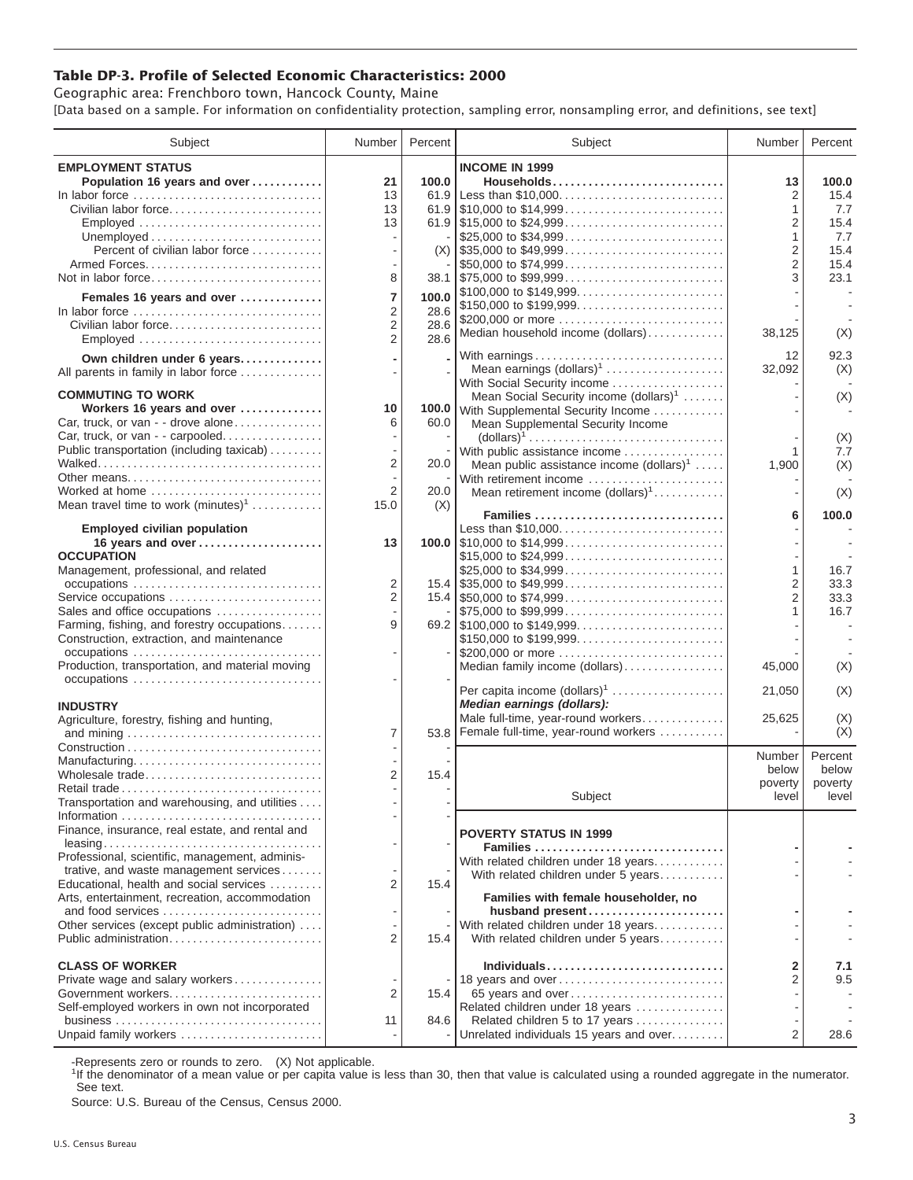## **Table DP-3. Profile of Selected Economic Characteristics: 2000**

Geographic area: Frenchboro town, Hancock County, Maine [Data based on a sample. For information on confidentiality protection, sampling error, nonsampling error, and definitions, see text]

| Subject                                                                                   | Number         | Percent | Subject                                                                                                                 | Number              | Percent          |
|-------------------------------------------------------------------------------------------|----------------|---------|-------------------------------------------------------------------------------------------------------------------------|---------------------|------------------|
| <b>EMPLOYMENT STATUS</b>                                                                  |                |         | <b>INCOME IN 1999</b>                                                                                                   |                     |                  |
| Population 16 years and over                                                              | 21             | 100.0   | Households                                                                                                              | 13                  | 100.0            |
| In labor force                                                                            | 13             | 61.9    | Less than \$10,000                                                                                                      | 2                   | 15.4             |
| Civilian labor force                                                                      | 13             |         |                                                                                                                         | 1                   | 7.7              |
| Employed                                                                                  | 13             |         | \$25,000 to \$34,999                                                                                                    | 2<br>1              | 15.4<br>7.7      |
| Percent of civilian labor force                                                           |                |         | $(X)$ \\ \$35,000 to \$49,999                                                                                           | $\overline{2}$      | 15.4             |
|                                                                                           |                |         | \$50,000 to \$74,999                                                                                                    | $\overline{2}$      | 15.4             |
| Not in labor force                                                                        | 8              |         | $38.1$   \$75,000 to \$99,999                                                                                           | 3                   | 23.1             |
| Females 16 years and over                                                                 | 7              | 100.0   | \$100,000 to \$149,999                                                                                                  |                     |                  |
| In labor force                                                                            | $\overline{2}$ | 28.6    | \$150,000 to \$199,999<br>\$200,000 or more                                                                             |                     |                  |
| Civilian labor force                                                                      | 2              | 28.6    | Median household income (dollars)                                                                                       | 38,125              | (X)              |
| Employed                                                                                  | 2              | 28.6    |                                                                                                                         |                     |                  |
| Own children under 6 years                                                                |                |         | With earnings<br>Mean earnings (dollars) <sup>1</sup>                                                                   | 12                  | 92.3<br>(X)      |
| All parents in family in labor force                                                      |                |         | With Social Security income                                                                                             | 32,092              |                  |
| <b>COMMUTING TO WORK</b>                                                                  |                |         | Mean Social Security income (dollars) <sup>1</sup>                                                                      |                     | (X)              |
| Workers 16 years and over                                                                 | 10             |         | 100.0 With Supplemental Security Income                                                                                 |                     |                  |
| Car, truck, or van - - drove alone                                                        | 6              | 60.0    | Mean Supplemental Security Income                                                                                       |                     |                  |
| Car, truck, or van - - carpooled<br>Public transportation (including taxicab)             |                |         | $\text{(dollars)}^1 \dots \dots \dots \dots \dots \dots \dots \dots \dots \dots \dots$<br>With public assistance income | 1                   | (X)<br>7.7       |
|                                                                                           | 2              | 20.0    | Mean public assistance income $(dollars)^1 \ldots$ .                                                                    | 1,900               | (X)              |
| Other means                                                                               |                |         | With retirement income                                                                                                  |                     |                  |
| Worked at home                                                                            | 2              | 20.0    | Mean retirement income (dollars) <sup>1</sup>                                                                           |                     | (X)              |
| Mean travel time to work $(minutes)^1$                                                    | 15.0           | (X)     | Families                                                                                                                | 6                   | 100.0            |
| <b>Employed civilian population</b>                                                       |                |         | Less than \$10,000                                                                                                      |                     |                  |
| 16 years and over                                                                         | 13             |         |                                                                                                                         |                     |                  |
| <b>OCCUPATION</b>                                                                         |                |         | \$15,000 to \$24,999                                                                                                    |                     |                  |
| Management, professional, and related                                                     | 2              |         |                                                                                                                         | 1<br>$\overline{2}$ | 16.7             |
| Service occupations                                                                       | $\overline{2}$ |         |                                                                                                                         | $\overline{2}$      | 33.3<br>33.3     |
| Sales and office occupations                                                              |                |         | $\frac{1}{275,000}$ to \$99,999                                                                                         | 1                   | 16.7             |
| Farming, fishing, and forestry occupations                                                | 9              |         |                                                                                                                         |                     |                  |
| Construction, extraction, and maintenance                                                 |                |         | \$150,000 to \$199,999                                                                                                  |                     |                  |
| occupations<br>Production, transportation, and material moving                            |                |         | \$200,000 or more                                                                                                       |                     |                  |
|                                                                                           |                |         | Median family income (dollars)                                                                                          | 45,000              | (X)              |
|                                                                                           |                |         | Per capita income (dollars) <sup>1</sup>                                                                                | 21,050              | (X)              |
| <b>INDUSTRY</b>                                                                           |                |         | Median earnings (dollars):                                                                                              |                     |                  |
| Agriculture, forestry, fishing and hunting,                                               | $\overline{7}$ |         | Male full-time, year-round workers<br>53.8 Female full-time, year-round workers                                         | 25,625              | (X)<br>(X)       |
|                                                                                           |                |         |                                                                                                                         |                     |                  |
| Manufacturing                                                                             |                |         |                                                                                                                         | Number              | Percent          |
| Wholesale trade                                                                           | 2              | 15.4    |                                                                                                                         | below<br>poverty    | below<br>poverty |
| Retail trade                                                                              |                |         | Subject                                                                                                                 | level               | level            |
| Transportation and warehousing, and utilities                                             |                |         |                                                                                                                         |                     |                  |
| Finance, insurance, real estate, and rental and                                           |                |         |                                                                                                                         |                     |                  |
|                                                                                           |                |         | <b>POVERTY STATUS IN 1999</b><br>Families                                                                               |                     |                  |
| Professional, scientific, management, adminis-                                            |                |         | With related children under 18 years                                                                                    |                     |                  |
| trative, and waste management services                                                    |                |         | With related children under 5 years                                                                                     |                     |                  |
| Educational, health and social services<br>Arts, entertainment, recreation, accommodation | 2              | 15.4    | Families with female householder, no                                                                                    |                     |                  |
| and food services                                                                         |                |         | husband present                                                                                                         |                     |                  |
| Other services (except public administration)                                             |                |         | With related children under 18 years                                                                                    |                     |                  |
| Public administration                                                                     | 2              | 15.4    | With related children under 5 years                                                                                     |                     |                  |
| <b>CLASS OF WORKER</b>                                                                    |                |         | Individuals                                                                                                             | 2                   | 7.1              |
| Private wage and salary workers                                                           |                |         | 18 years and over                                                                                                       | $\overline{c}$      | 9.5              |
|                                                                                           | 2              | 15.4    | 65 years and over                                                                                                       |                     |                  |
| Self-employed workers in own not incorporated                                             |                |         | Related children under 18 years                                                                                         |                     |                  |
|                                                                                           | 11             | 84.6    | Related children 5 to 17 years                                                                                          |                     |                  |
| Unpaid family workers                                                                     |                |         | Unrelated individuals 15 years and over                                                                                 | $\overline{2}$      | 28.6             |

-Represents zero or rounds to zero. (X) Not applicable.

<sup>1</sup>If the denominator of a mean value or per capita value is less than 30, then that value is calculated using a rounded aggregate in the numerator. See text.

Source: U.S. Bureau of the Census, Census 2000.